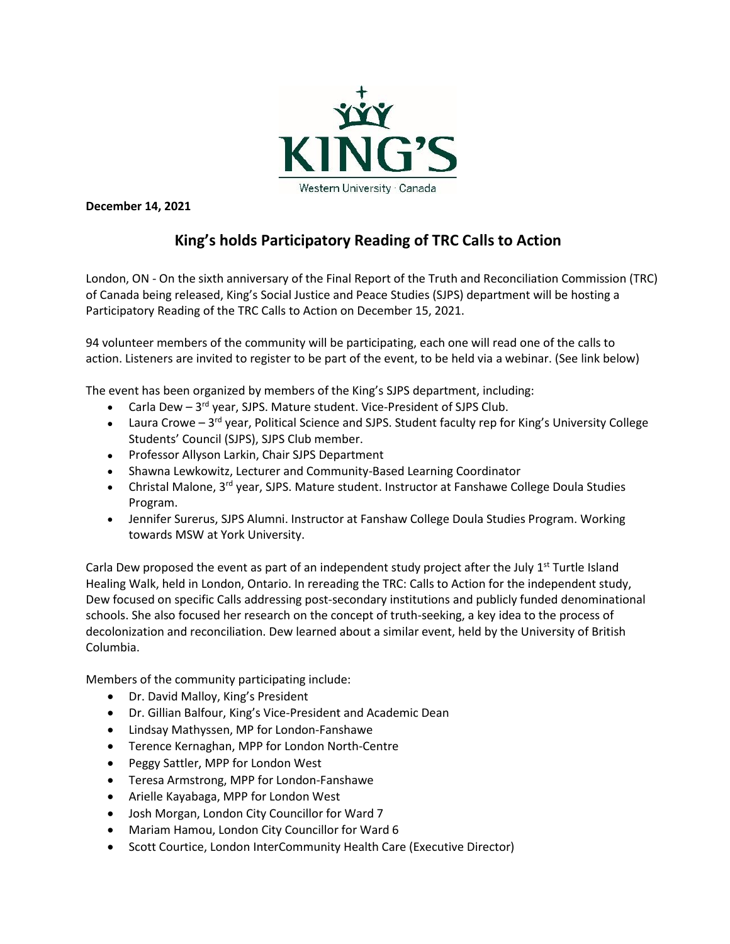

**December 14, 2021**

# **King's holds Participatory Reading of TRC Calls to Action**

London, ON - On the sixth anniversary of the Final Report of the Truth and Reconciliation Commission (TRC) of Canada being released, King's Social Justice and Peace Studies (SJPS) department will be hosting a Participatory Reading of the TRC Calls to Action on December 15, 2021.

94 volunteer members of the community will be participating, each one will read one of the calls to action. Listeners are invited to register to be part of the event, to be held via a webinar. (See link below)

The event has been organized by members of the King's SJPS department, including:

- Carla Dew  $-3^{rd}$  year, SJPS. Mature student. Vice-President of SJPS Club.
- Laura Crowe 3<sup>rd</sup> year, Political Science and SJPS. Student faculty rep for King's University College Students' Council (SJPS), SJPS Club member.
- Professor Allyson Larkin, Chair SJPS Department
- Shawna Lewkowitz, Lecturer and Community-Based Learning Coordinator
- Christal Malone, 3<sup>rd</sup> year, SJPS. Mature student. Instructor at Fanshawe College Doula Studies Program.
- Jennifer Surerus, SJPS Alumni. Instructor at Fanshaw College Doula Studies Program. Working towards MSW at York University.

Carla Dew proposed the event as part of an independent study project after the July  $1<sup>st</sup>$  Turtle Island Healing Walk, held in London, Ontario. In rereading the TRC: Calls to Action for the independent study, Dew focused on specific Calls addressing post-secondary institutions and publicly funded denominational schools. She also focused her research on the concept of truth-seeking, a key idea to the process of decolonization and reconciliation. Dew learned about a similar event, held by the University of British Columbia.

Members of the community participating include:

- Dr. David Malloy, King's President
- Dr. Gillian Balfour, King's Vice-President and Academic Dean
- Lindsay Mathyssen, MP for London-Fanshawe
- Terence Kernaghan, MPP for London North-Centre
- Peggy Sattler, MPP for London West
- Teresa Armstrong, MPP for London-Fanshawe
- Arielle Kayabaga, MPP for London West
- Josh Morgan, London City Councillor for Ward 7
- Mariam Hamou, London City Councillor for Ward 6
- Scott Courtice, London InterCommunity Health Care (Executive Director)